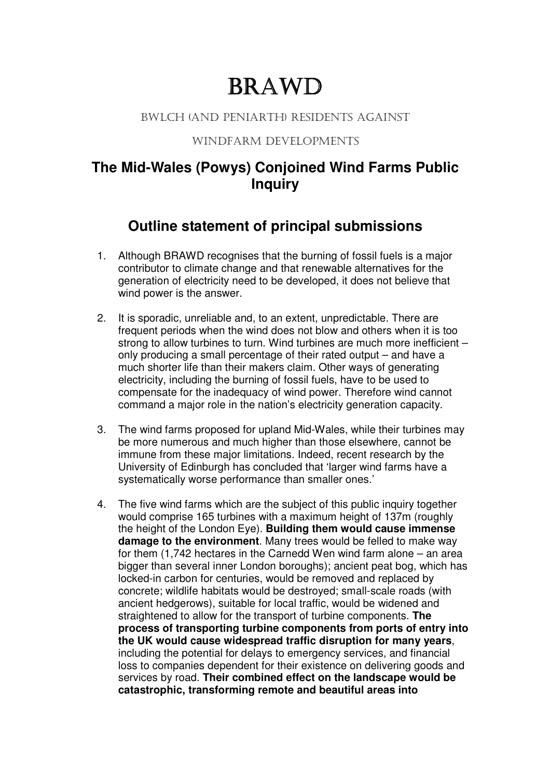# BRAWD

#### BWLCH (AND PENIARTH) RESIDENTS AGAINST

#### WINDFARM DEVELOPMENTS

### **The Mid-Wales (Powys) Conjoined Wind Farms Public Inquiry**

## **Outline statement of principal submissions**

- 1. Although BRAWD recognises that the burning of fossil fuels is a major contributor to climate change and that renewable alternatives for the generation of electricity need to be developed, it does not believe that wind power is the answer.
- 2. It is sporadic, unreliable and, to an extent, unpredictable. There are frequent periods when the wind does not blow and others when it is too strong to allow turbines to turn. Wind turbines are much more inefficient – only producing a small percentage of their rated output – and have a much shorter life than their makers claim. Other ways of generating electricity, including the burning of fossil fuels, have to be used to compensate for the inadequacy of wind power. Therefore wind cannot command a major role in the nation's electricity generation capacity.
- 3. The wind farms proposed for upland Mid-Wales, while their turbines may be more numerous and much higher than those elsewhere, cannot be immune from these major limitations. Indeed, recent research by the University of Edinburgh has concluded that 'larger wind farms have a systematically worse performance than smaller ones.'
- 4. The five wind farms which are the subject of this public inquiry together would comprise 165 turbines with a maximum height of 137m (roughly the height of the London Eye). **Building them would cause immense damage to the environment**. Many trees would be felled to make way for them (1,742 hectares in the Carnedd Wen wind farm alone – an area bigger than several inner London boroughs); ancient peat bog, which has locked-in carbon for centuries, would be removed and replaced by concrete; wildlife habitats would be destroyed; small-scale roads (with ancient hedgerows), suitable for local traffic, would be widened and straightened to allow for the transport of turbine components. **The process of transporting turbine components from ports of entry into the UK would cause widespread traffic disruption for many years**, including the potential for delays to emergency services, and financial loss to companies dependent for their existence on delivering goods and services by road. **Their combined effect on the landscape would be catastrophic, transforming remote and beautiful areas into**